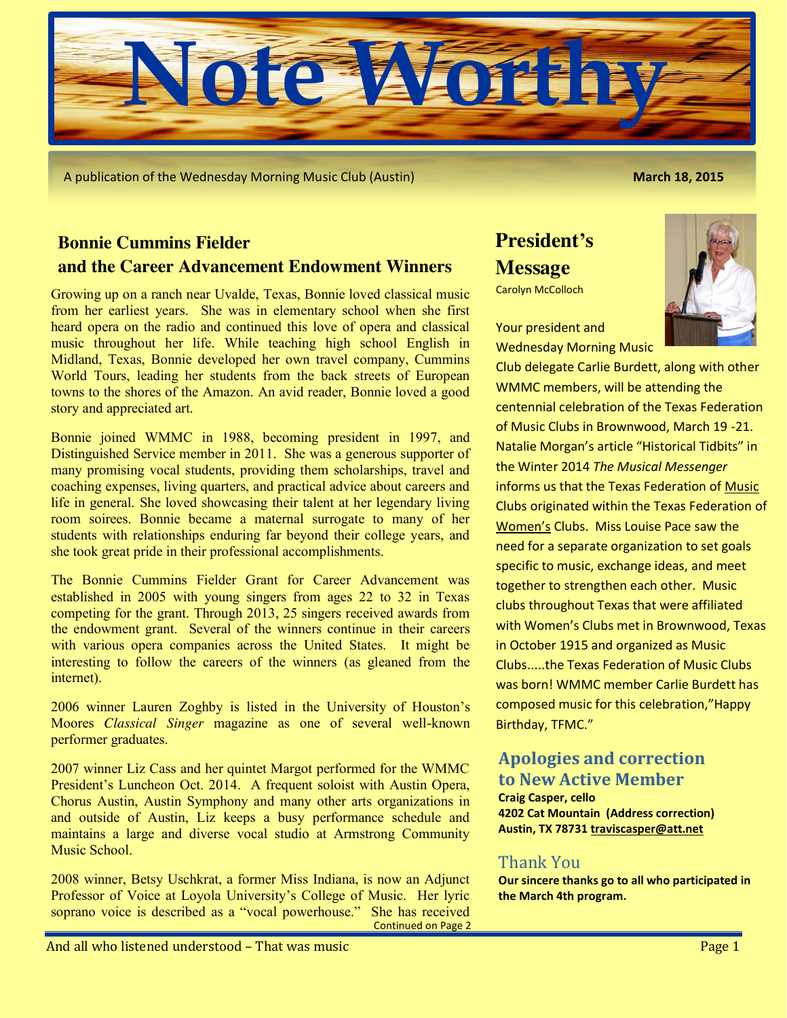

A publication of the Wednesday Morning Music Club (Austin) **March 18, 2015**

## **Bonnie Cummins Fielder and the Career Advancement Endowment Winners**

Growing up on a ranch near Uvalde, Texas, Bonnie loved classical music from her earliest years. She was in elementary school when she first heard opera on the radio and continued this love of opera and classical music throughout her life. While teaching high school English in Midland, Texas, Bonnie developed her own travel company, Cummins World Tours, leading her students from the back streets of European towns to the shores of the Amazon. An avid reader, Bonnie loved a good story and appreciated art.

Bonnie joined WMMC in 1988, becoming president in 1997, and Distinguished Service member in 2011. She was a generous supporter of many promising vocal students, providing them scholarships, travel and coaching expenses, living quarters, and practical advice about careers and life in general. She loved showcasing their talent at her legendary living room soirees. Bonnie became a maternal surrogate to many of her students with relationships enduring far beyond their college years, and she took great pride in their professional accomplishments.

The Bonnie Cummins Fielder Grant for Career Advancement was established in 2005 with young singers from ages 22 to 32 in Texas competing for the grant. Through 2013, 25 singers received awards from the endowment grant. Several of the winners continue in their careers with various opera companies across the United States. It might be interesting to follow the careers of the winners (as gleaned from the internet).

2006 winner Lauren Zoghby is listed in the University of Houston's Moores *Classical Singer* magazine as one of several well-known performer graduates.

2007 winner Liz Cass and her quintet Margot performed for the WMMC President's Luncheon Oct. 2014. A frequent soloist with Austin Opera, Chorus Austin, Austin Symphony and many other arts organizations in and outside of Austin, Liz keeps a busy performance schedule and maintains a large and diverse vocal studio at Armstrong Community Music School.

2008 winner, Betsy Uschkrat, a former Miss Indiana, is now an Adjunct Professor of Voice at Loyola University's College of Music. Her lyric soprano voice is described as a "vocal powerhouse." She has received Continued on Page 2

# **President's Message**

Carolyn McColloch

Your president and Wednesday Morning Music

Club delegate Carlie Burdett, along with other WMMC members, will be attending the centennial celebration of the Texas Federation of Music Clubs in Brownwood, March 19 -21. Natalie Morgan's article "Historical Tidbits" in the Winter 2014 *The Musical Messenger* informs us that the Texas Federation of Music Clubs originated within the Texas Federation of Women's Clubs. Miss Louise Pace saw the need for a separate organization to set goals specific to music, exchange ideas, and meet together to strengthen each other. Music clubs throughout Texas that were affiliated with Women's Clubs met in Brownwood, Texas in October 1915 and organized as Music Clubs.....the Texas Federation of Music Clubs was born! WMMC member Carlie Burdett has composed music for this celebration,"Happy Birthday, TFMC."

## **Apologies and correction to New Active Member**

**Craig Casper, cello 4202 Cat Mountain (Address correction) Austin, TX 78731 [traviscasper@att.net](mailto:traviscasper@att.net)**

## Thank You

**Our sincere thanks go to all who participated in the March 4th program.**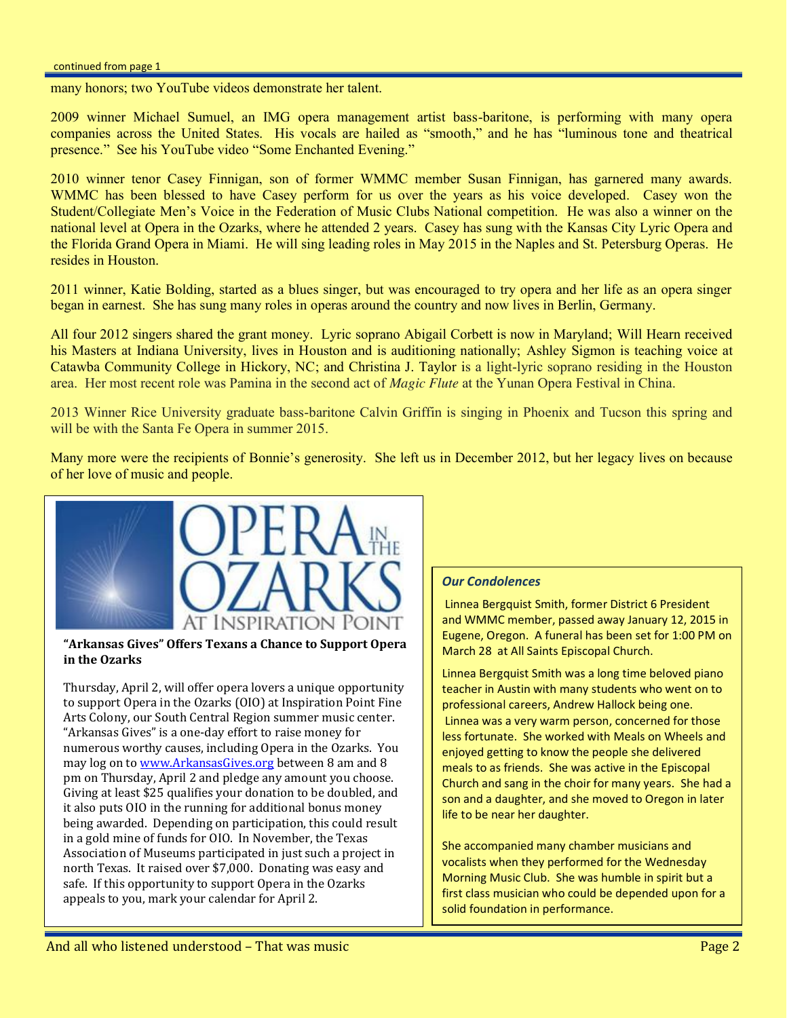#### continued from page 1

many honors; two YouTube videos demonstrate her talent.

2009 winner Michael Sumuel, an IMG opera management artist bass-baritone, is performing with many opera companies across the United States. His vocals are hailed as "smooth," and he has "luminous tone and theatrical presence." See his YouTube video "Some Enchanted Evening."

2010 winner tenor Casey Finnigan, son of former WMMC member Susan Finnigan, has garnered many awards. WMMC has been blessed to have Casey perform for us over the years as his voice developed. Casey won the Student/Collegiate Men's Voice in the Federation of Music Clubs National competition. He was also a winner on the national level at Opera in the Ozarks, where he attended 2 years. Casey has sung with the Kansas City Lyric Opera and the Florida Grand Opera in Miami. He will sing leading roles in May 2015 in the Naples and St. Petersburg Operas. He resides in Houston.

2011 winner, Katie Bolding, started as a blues singer, but was encouraged to try opera and her life as an opera singer began in earnest. She has sung many roles in operas around the country and now lives in Berlin, Germany.

All four 2012 singers shared the grant money. Lyric soprano Abigail Corbett is now in Maryland; Will Hearn received his Masters at Indiana University, lives in Houston and is auditioning nationally; Ashley Sigmon is teaching voice at Catawba Community College in Hickory, NC; and Christina J. Taylor is a light-lyric soprano residing in the Houston area. Her most recent role was Pamina in the second act of *Magic Flute* at the Yunan Opera Festival in China.

2013 Winner Rice University graduate bass-baritone Calvin Griffin is singing in Phoenix and Tucson this spring and will be with the Santa Fe Opera in summer 2015.

Many more were the recipients of Bonnie's generosity. She left us in December 2012, but her legacy lives on because of her love of music and people.



#### **"Arkansas Gives" Offers Texans a Chance to Support Opera in the Ozarks**

Thursday, April 2, will offer opera lovers a unique opportunity to support Opera in the Ozarks (OIO) at Inspiration Point Fine Arts Colony, our South Central Region summer music center. "Arkansas Gives" is a one-day effort to raise money for numerous worthy causes, including Opera in the Ozarks. You may log on to [www.ArkansasGives.org](http://www.arkansasgives.org/) between 8 am and 8 pm on Thursday, April 2 and pledge any amount you choose. Giving at least \$25 qualifies your donation to be doubled, and it also puts OIO in the running for additional bonus money being awarded. Depending on participation, this could result in a gold mine of funds for OIO. In November, the Texas Association of Museums participated in just such a project in north Texas. It raised over \$7,000. Donating was easy and safe. If this opportunity to support Opera in the Ozarks appeals to you, mark your calendar for April 2.

#### *Our Condolences*

Linnea Bergquist Smith, former District 6 President and WMMC member, passed away January 12, 2015 in Eugene, Oregon. A funeral has been set for 1:00 PM on March 28 at All Saints Episcopal Church.

Linnea Bergquist Smith was a long time beloved piano teacher in Austin with many students who went on to professional careers, Andrew Hallock being one. Linnea was a very warm person, concerned for those less fortunate. She worked with Meals on Wheels and enjoyed getting to know the people she delivered meals to as friends. She was active in the Episcopal Church and sang in the choir for many years. She had a son and a daughter, and she moved to Oregon in later life to be near her daughter.

She accompanied many chamber musicians and vocalists when they performed for the Wednesday Morning Music Club. She was humble in spirit but a first class musician who could be depended upon for a solid foundation in performance.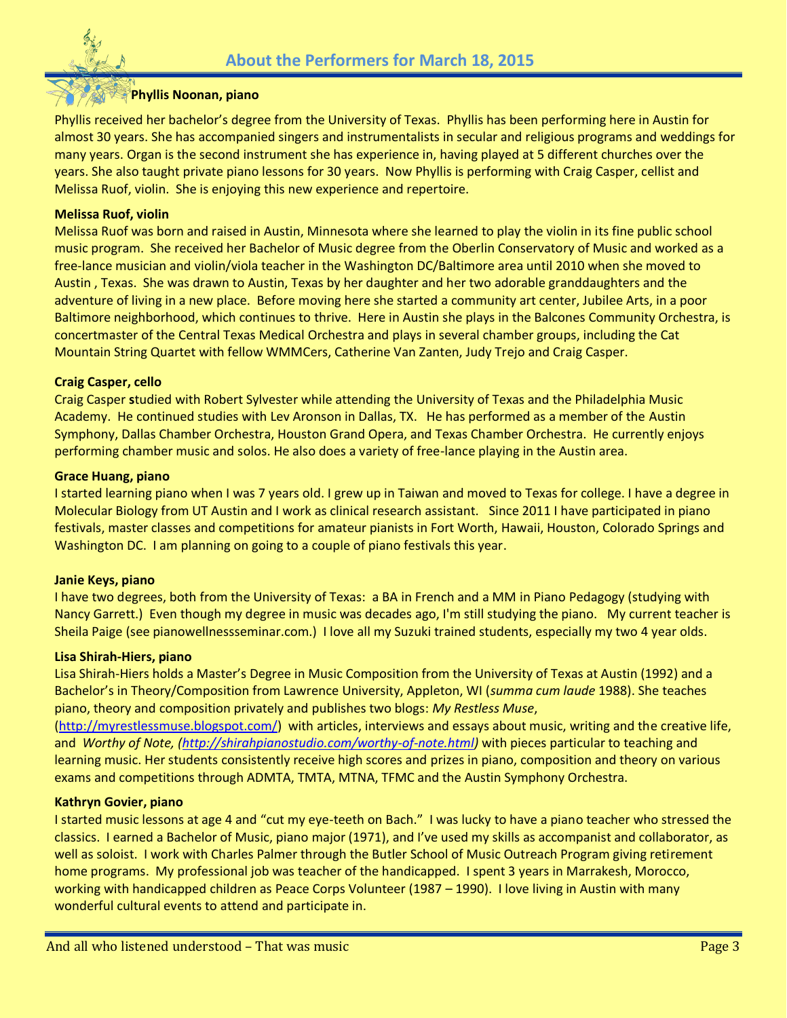

## **Phyllis Noonan, piano**

Phyllis received her bachelor's degree from the University of Texas. Phyllis has been performing here in Austin for almost 30 years. She has accompanied singers and instrumentalists in secular and religious programs and weddings for many years. Organ is the second instrument she has experience in, having played at 5 different churches over the years. She also taught private piano lessons for 30 years. Now Phyllis is performing with Craig Casper, cellist and Melissa Ruof, violin. She is enjoying this new experience and repertoire.

#### **Melissa Ruof, violin**

Melissa Ruof was born and raised in Austin, Minnesota where she learned to play the violin in its fine public school music program. She received her Bachelor of Music degree from the Oberlin Conservatory of Music and worked as a free-lance musician and violin/viola teacher in the Washington DC/Baltimore area until 2010 when she moved to Austin , Texas. She was drawn to Austin, Texas by her daughter and her two adorable granddaughters and the adventure of living in a new place. Before moving here she started a community art center, Jubilee Arts, in a poor Baltimore neighborhood, which continues to thrive. Here in Austin she plays in the Balcones Community Orchestra, is concertmaster of the Central Texas Medical Orchestra and plays in several chamber groups, including the Cat Mountain String Quartet with fellow WMMCers, Catherine Van Zanten, Judy Trejo and Craig Casper.

#### **Craig Casper, cello**

Craig Casper **s**tudied with Robert Sylvester while attending the University of Texas and the Philadelphia Music Academy. He continued studies with Lev Aronson in Dallas, TX. He has performed as a member of the Austin Symphony, Dallas Chamber Orchestra, Houston Grand Opera, and Texas Chamber Orchestra. He currently enjoys performing chamber music and solos. He also does a variety of free-lance playing in the Austin area.

#### **Grace Huang, piano**

I started learning piano when I was 7 years old. I grew up in Taiwan and moved to Texas for college. I have a degree in Molecular Biology from UT Austin and I work as clinical research assistant. Since 2011 I have participated in piano festivals, master classes and competitions for amateur pianists in Fort Worth, Hawaii, Houston, Colorado Springs and Washington DC. I am planning on going to a couple of piano festivals this year.

#### **Janie Keys, piano**

I have two degrees, both from the University of Texas: a BA in French and a MM in Piano Pedagogy (studying with Nancy Garrett.) Even though my degree in music was decades ago, I'm still studying the piano. My current teacher is Sheila Paige (see pianowellnessseminar.com.) I love all my Suzuki trained students, especially my two 4 year olds.

#### **Lisa Shirah-Hiers, piano**

Lisa Shirah-Hiers holds a Master's Degree in Music Composition from the University of Texas at Austin (1992) and a Bachelor's in Theory/Composition from Lawrence University, Appleton, WI (*summa cum laude* 1988). She teaches piano, theory and composition privately and publishes two blogs: *My Restless Muse*,

[\(http://myrestlessmuse.blogspot.com/\)](http://myrestlessmuse.blogspot.com/) with articles, interviews and essays about music, writing and the creative life, and *Worthy of Note, [\(http://shirahpianostudio.com/worthy-of-note.html\)](http://shirahpianostudio.com/worthy-of-note.html)* with pieces particular to teaching and learning music. Her students consistently receive high scores and prizes in piano, composition and theory on various exams and competitions through ADMTA, TMTA, MTNA, TFMC and the Austin Symphony Orchestra.

#### **Kathryn Govier, piano**

I started music lessons at age 4 and "cut my eye-teeth on Bach." I was lucky to have a piano teacher who stressed the classics. I earned a Bachelor of Music, piano major (1971), and I've used my skills as accompanist and collaborator, as well as soloist. I work with Charles Palmer through the Butler School of Music Outreach Program giving retirement home programs. My professional job was teacher of the handicapped. I spent 3 years in Marrakesh, Morocco, working with handicapped children as Peace Corps Volunteer (1987 – 1990). I love living in Austin with many wonderful cultural events to attend and participate in.